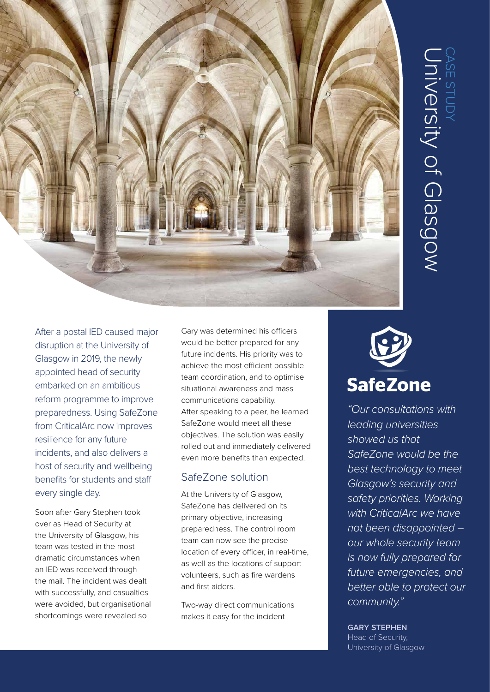

After a postal IED caused major disruption at the University of Glasgow in 2019, the newly appointed head of security embarked on an ambitious reform programme to improve preparedness. Using SafeZone from CriticalArc now improves resilience for any future incidents, and also delivers a host of security and wellbeing benefits for students and staff every single day.

Soon after Gary Stephen took over as Head of Security at the University of Glasgow, his team was tested in the most dramatic circumstances when an IED was received through the mail. The incident was dealt with successfully, and casualties were avoided, but organisational shortcomings were revealed so

Gary was determined his officers would be better prepared for any future incidents. His priority was to achieve the most efficient possible team coordination, and to optimise situational awareness and mass communications capability. After speaking to a peer, he learned SafeZone would meet all these objectives. The solution was easily rolled out and immediately delivered even more benefits than expected.

# SafeZone solution

At the University of Glasgow, SafeZone has delivered on its primary objective, increasing preparedness. The control room team can now see the precise location of every officer, in real-time, as well as the locations of support volunteers, such as fire wardens and first aiders.

Two-way direct communications makes it easy for the incident



*"Our consultations with leading universities showed us that SafeZone would be the best technology to meet Glasgow's security and safety priorities. Working with CriticalArc we have not been disappointed – our whole security team is now fully prepared for future emergencies, and better able to protect our community."*

### **GARY STEPHEN**

Head of Security, University of Glasgow